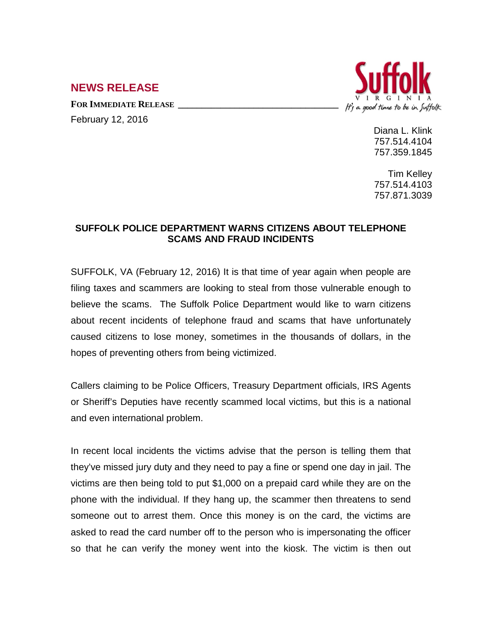## **NEWS RELEASE**

FOR **IMMEDIATE RELEASE** 

February 12, 2016



Diana L. Klink 757.514.4104 757.359.1845

Tim Kelley 757.514.4103 757.871.3039

## **SUFFOLK POLICE DEPARTMENT WARNS CITIZENS ABOUT TELEPHONE SCAMS AND FRAUD INCIDENTS**

SUFFOLK, VA (February 12, 2016) It is that time of year again when people are filing taxes and scammers are looking to steal from those vulnerable enough to believe the scams. The Suffolk Police Department would like to warn citizens about recent incidents of telephone fraud and scams that have unfortunately caused citizens to lose money, sometimes in the thousands of dollars, in the hopes of preventing others from being victimized.

Callers claiming to be Police Officers, Treasury Department officials, IRS Agents or Sheriff's Deputies have recently scammed local victims, but this is a national and even international problem.

In recent local incidents the victims advise that the person is telling them that they've missed jury duty and they need to pay a fine or spend one day in jail. The victims are then being told to put \$1,000 on a prepaid card while they are on the phone with the individual. If they hang up, the scammer then threatens to send someone out to arrest them. Once this money is on the card, the victims are asked to read the card number off to the person who is impersonating the officer so that he can verify the money went into the kiosk. The victim is then out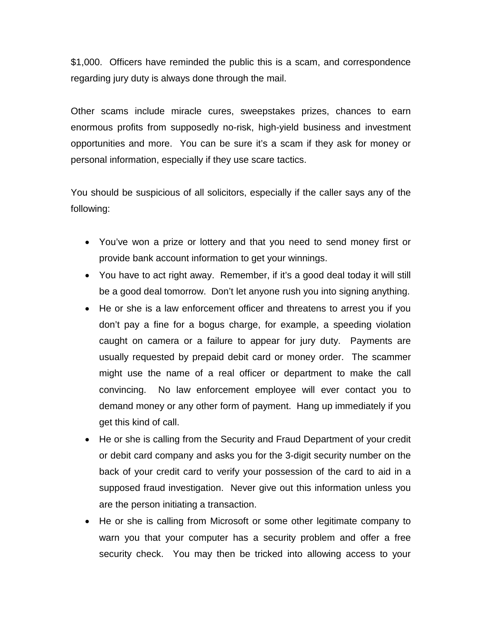\$1,000. Officers have reminded the public this is a scam, and correspondence regarding jury duty is always done through the mail.

Other scams include miracle cures, sweepstakes prizes, chances to earn enormous profits from supposedly no-risk, high-yield business and investment opportunities and more. You can be sure it's a scam if they ask for money or personal information, especially if they use scare tactics.

You should be suspicious of all solicitors, especially if the caller says any of the following:

- You've won a prize or lottery and that you need to send money first or provide bank account information to get your winnings.
- You have to act right away. Remember, if it's a good deal today it will still be a good deal tomorrow. Don't let anyone rush you into signing anything.
- He or she is a law enforcement officer and threatens to arrest you if you don't pay a fine for a bogus charge, for example, a speeding violation caught on camera or a failure to appear for jury duty. Payments are usually requested by prepaid debit card or money order. The scammer might use the name of a real officer or department to make the call convincing. No law enforcement employee will ever contact you to demand money or any other form of payment. Hang up immediately if you get this kind of call.
- He or she is calling from the Security and Fraud Department of your credit or debit card company and asks you for the 3-digit security number on the back of your credit card to verify your possession of the card to aid in a supposed fraud investigation. Never give out this information unless you are the person initiating a transaction.
- He or she is calling from Microsoft or some other legitimate company to warn you that your computer has a security problem and offer a free security check. You may then be tricked into allowing access to your